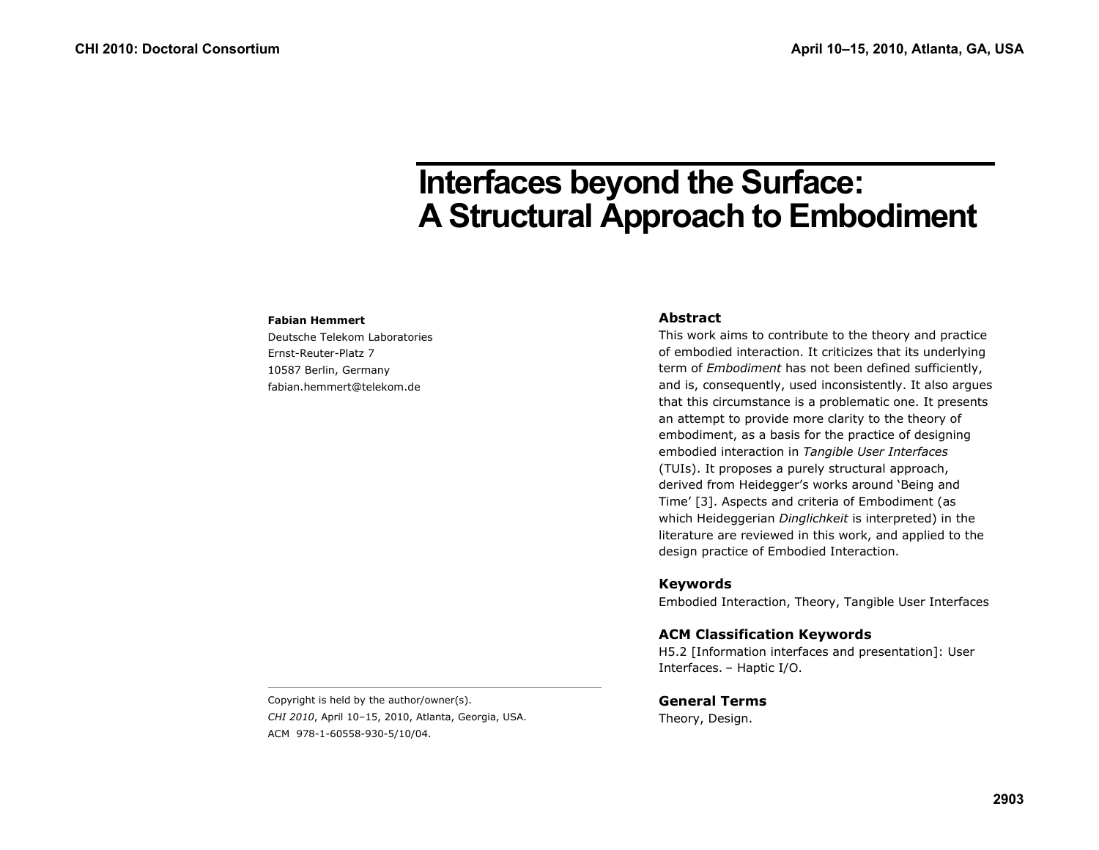# **Interfaces beyond the Surface: A Structural Approach to Embodiment**

#### **Fabian Hemmert**

Deutsche Telekom Laboratories Ernst-Reuter-Platz 7 10587 Berlin, Germany fabian.hemmert@telekom.de

### **Abstract**

This work aims to contribute to the theory and practice of embodied interaction. It criticizes that its underlying term of *Embodiment* has not been defined sufficiently, and is, consequently, used inconsistently. It also argues that this circumstance is a problematic one. It presents an attempt to provide more clarity to the theory of embodiment, as a basis for the practice of designing embodied interaction in *Tangible User Interfaces* (TUIs). It proposes a purely structural approach, derived from Heidegger's works around 'Being and Time' [3]. Aspects and criteria of Embodiment (as which Heideggerian *Dinglichkeit* is interpreted) in the literature are reviewed in this work, and applied to the design practice of Embodied Interaction.

#### **Keywords**

Embodied Interaction, Theory, Tangible User Interfaces

## **ACM Classification Keywords**

H5.2 [Information interfaces and presentation]: User Interfaces. – Haptic I/O.

**General Terms** Theory, Design.

Copyright is held by the author/owner(s). *CHI 2010*, April 10–15, 2010, Atlanta, Georgia, USA. ACM 978-1-60558-930-5/10/04.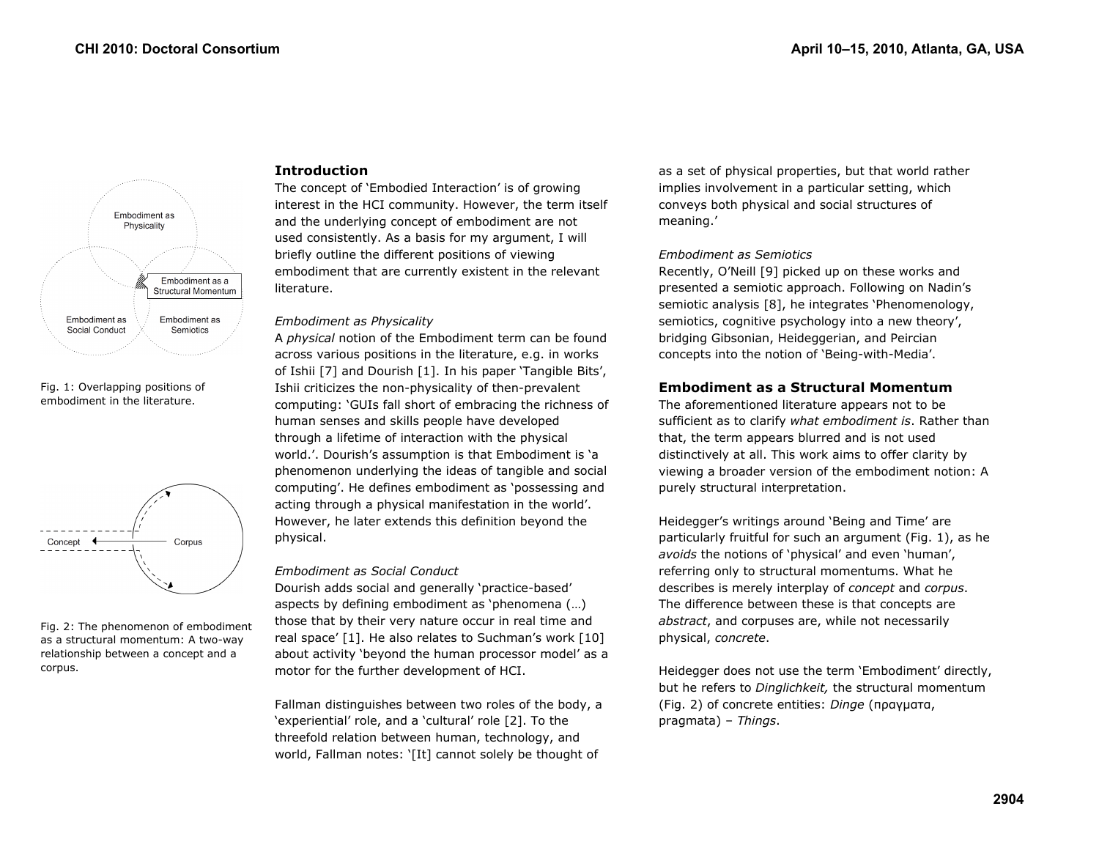

Fig. 1: Overlapping positions of embodiment in the literature.



Fig. 2: The phenomenon of embodiment as a structural momentum: A two-way relationship between a concept and a corpus.

## **Introduction**

The concept of 'Embodied Interaction' is of growing interest in the HCI community. However, the term itself and the underlying concept of embodiment are not used consistently. As a basis for my argument, I will briefly outline the different positions of viewing embodiment that are currently existent in the relevant literature.

#### *Embodiment as Physicality*

A *physical* notion of the Embodiment term can be found across various positions in the literature, e.g. in works of Ishii [7] and Dourish [1]. In his paper 'Tangible Bits', Ishii criticizes the non-physicality of then-prevalent computing: 'GUIs fall short of embracing the richness of human senses and skills people have developed through a lifetime of interaction with the physical world.'. Dourish's assumption is that Embodiment is 'a phenomenon underlying the ideas of tangible and social computing'. He defines embodiment as 'possessing and acting through a physical manifestation in the world'. However, he later extends this definition beyond the physical.

#### *Embodiment as Social Conduct*

Dourish adds social and generally 'practice-based' aspects by defining embodiment as 'phenomena (…) those that by their very nature occur in real time and real space' [1]. He also relates to Suchman's work [10] about activity 'beyond the human processor model' as a motor for the further development of HCI.

Fallman distinguishes between two roles of the body, a 'experiential' role, and a 'cultural' role [2]. To the threefold relation between human, technology, and world, Fallman notes: '[It] cannot solely be thought of

as a set of physical properties, but that world rather implies involvement in a particular setting, which conveys both physical and social structures of meaning.'

### *Embodiment as Semiotics*

Recently, O'Neill [9] picked up on these works and presented a semiotic approach. Following on Nadin's semiotic analysis [8], he integrates 'Phenomenology, semiotics, cognitive psychology into a new theory', bridging Gibsonian, Heideggerian, and Peircian concepts into the notion of 'Being-with-Media'.

## **Embodiment as a Structural Momentum**

The aforementioned literature appears not to be sufficient as to clarify *what embodiment is*. Rather than that, the term appears blurred and is not used distinctively at all. This work aims to offer clarity by viewing a broader version of the embodiment notion: A purely structural interpretation.

Heidegger's writings around 'Being and Time' are particularly fruitful for such an argument (Fig. 1), as he *avoids* the notions of 'physical' and even 'human', referring only to structural momentums. What he describes is merely interplay of *concept* and *corpus*. The difference between these is that concepts are *abstract*, and corpuses are, while not necessarily physical, *concrete*.

Heidegger does not use the term 'Embodiment' directly, but he refers to *Dinglichkeit,* the structural momentum (Fig. 2) of concrete entities: *Dinge* (πραγµατα, pragmata) – *Things*.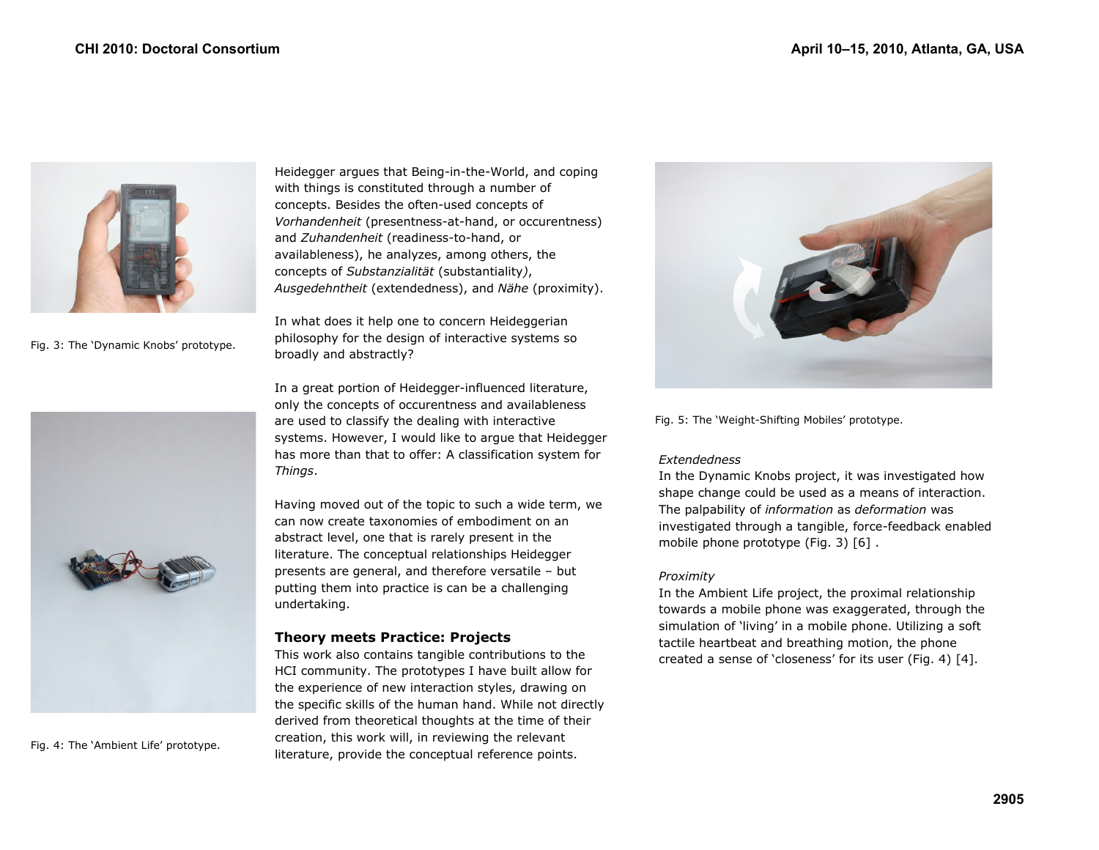

Fig. 3: The 'Dynamic Knobs' prototype.



Fig. 4: The 'Ambient Life' prototype.

Heidegger argues that Being-in-the-World, and coping with things is constituted through a number of concepts. Besides the often-used concepts of *Vorhandenheit* (presentness-at-hand, or occurentness) and *Zuhandenheit* (readiness-to-hand, or availableness), he analyzes, among others, the concepts of *Substanzialität* (substantiality*)*, *Ausgedehntheit* (extendedness), and *Nähe* (proximity).

In what does it help one to concern Heideggerian philosophy for the design of interactive systems so broadly and abstractly?

In a great portion of Heidegger-influenced literature, only the concepts of occurentness and availableness are used to classify the dealing with interactive systems. However, I would like to argue that Heidegger has more than that to offer: A classification system for *Things*.

Having moved out of the topic to such a wide term, we can now create taxonomies of embodiment on an abstract level, one that is rarely present in the literature. The conceptual relationships Heidegger presents are general, and therefore versatile – but putting them into practice is can be a challenging undertaking.

## **Theory meets Practice: Projects**

This work also contains tangible contributions to the HCI community. The prototypes I have built allow for the experience of new interaction styles, drawing on the specific skills of the human hand. While not directly derived from theoretical thoughts at the time of their creation, this work will, in reviewing the relevant literature, provide the conceptual reference points.



Fig. 5: The 'Weight-Shifting Mobiles' prototype.

## *Extendedness*

In the Dynamic Knobs project, it was investigated how shape change could be used as a means of interaction. The palpability of *information* as *deformation* was investigated through a tangible, force-feedback enabled mobile phone prototype (Fig. 3) [6] .

## *Proximity*

In the Ambient Life project, the proximal relationship towards a mobile phone was exaggerated, through the simulation of 'living' in a mobile phone. Utilizing a soft tactile heartbeat and breathing motion, the phone created a sense of 'closeness' for its user (Fig. 4) [4].